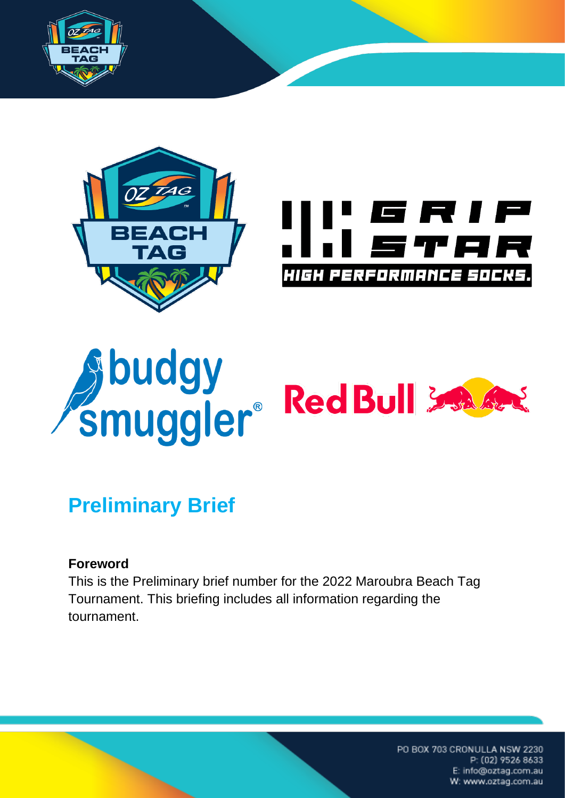





# Sbudgy<br>Smuggler®RedBull

# **Preliminary Brief**

## **Foreword**

This is the Preliminary brief number for the 2022 Maroubra Beach Tag Tournament. This briefing includes all information regarding the tournament.

> PO BOX 703 CRONULLA NSW 2230 P: (02) 9526 8633 E: info@oztag.com.au W: www.oztag.com.au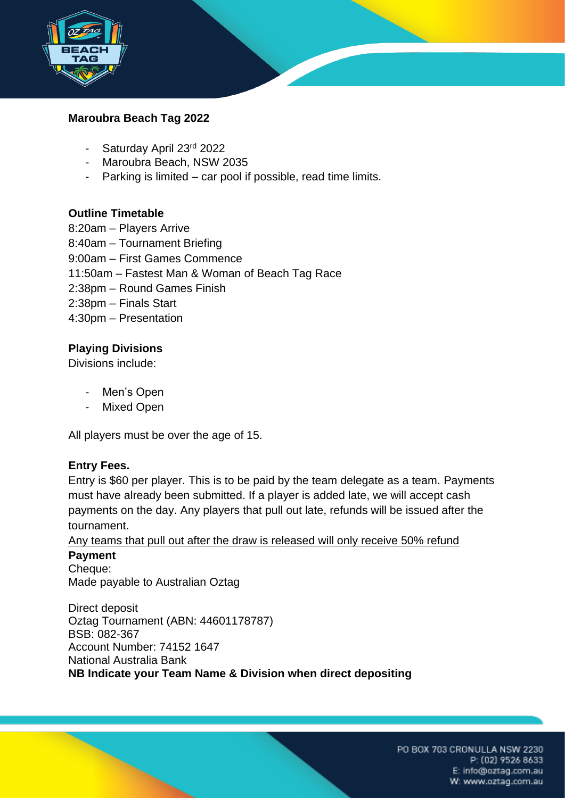

### **Maroubra Beach Tag 2022**

- Saturday April 23rd 2022
- Maroubra Beach, NSW 2035
- Parking is limited car pool if possible, read time limits.

### **Outline Timetable**

8:20am – Players Arrive 8:40am – Tournament Briefing 9:00am – First Games Commence 11:50am – Fastest Man & Woman of Beach Tag Race 2:38pm – Round Games Finish 2:38pm – Finals Start 4:30pm – Presentation

### **Playing Divisions**

Divisions include:

- Men's Open
- Mixed Open

All players must be over the age of 15.

### **Entry Fees.**

Entry is \$60 per player. This is to be paid by the team delegate as a team. Payments must have already been submitted. If a player is added late, we will accept cash payments on the day. Any players that pull out late, refunds will be issued after the tournament.

Any teams that pull out after the draw is released will only receive 50% refund

### **Payment**

Cheque: Made payable to Australian Oztag

Direct deposit Oztag Tournament (ABN: 44601178787) BSB: 082-367 Account Number: 74152 1647 National Australia Bank **NB Indicate your Team Name & Division when direct depositing**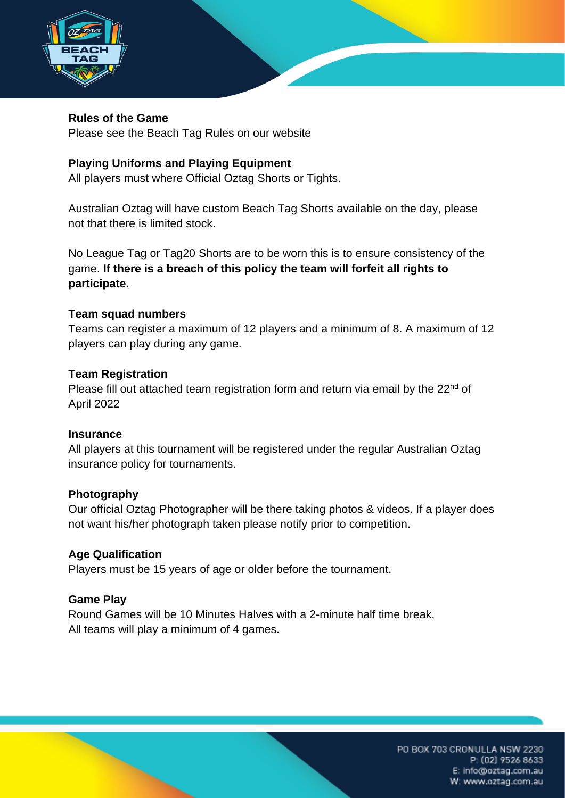

### **Rules of the Game**

Please see the Beach Tag Rules on our website

### **Playing Uniforms and Playing Equipment**

All players must where Official Oztag Shorts or Tights.

Australian Oztag will have custom Beach Tag Shorts available on the day, please not that there is limited stock.

No League Tag or Tag20 Shorts are to be worn this is to ensure consistency of the game. **If there is a breach of this policy the team will forfeit all rights to participate.**

### **Team squad numbers**

Teams can register a maximum of 12 players and a minimum of 8. A maximum of 12 players can play during any game.

### **Team Registration**

Please fill out attached team registration form and return via email by the  $22<sup>nd</sup>$  of April 2022

### **Insurance**

All players at this tournament will be registered under the regular Australian Oztag insurance policy for tournaments.

### **Photography**

Our official Oztag Photographer will be there taking photos & videos. If a player does not want his/her photograph taken please notify prior to competition.

### **Age Qualification**

Players must be 15 years of age or older before the tournament.

### **Game Play**

Round Games will be 10 Minutes Halves with a 2-minute half time break. All teams will play a minimum of 4 games.